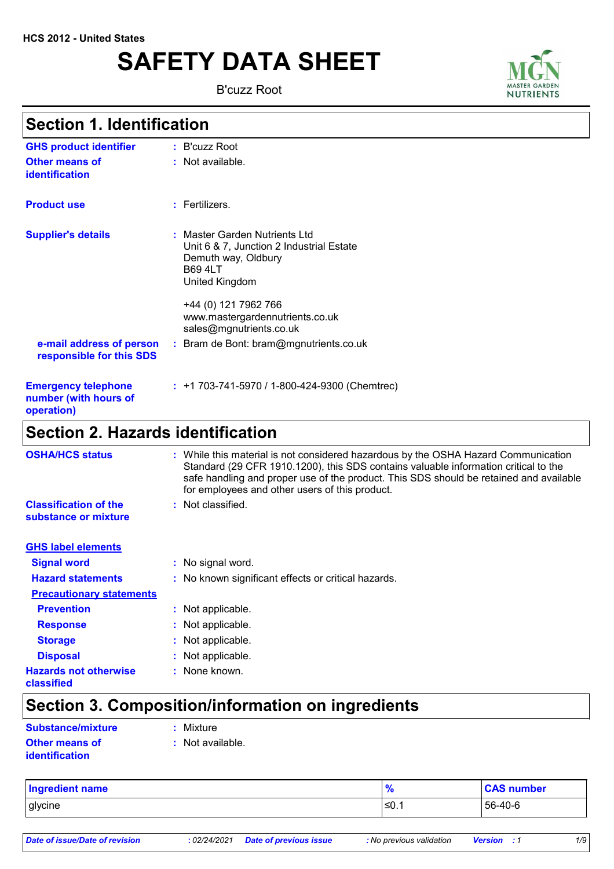# **SAFETY DATA SHEET**

B'cuzz Root



# **Section 1. Identification**

| <b>Section 2. Hazards identification</b>                          |                                                                                                                                             |
|-------------------------------------------------------------------|---------------------------------------------------------------------------------------------------------------------------------------------|
| <b>Emergency telephone</b><br>number (with hours of<br>operation) | $: +1703-741-5970/1-800-424-9300$ (Chemtrec)                                                                                                |
| e-mail address of person<br>responsible for this SDS              | +44 (0) 121 7962 766<br>www.mastergardennutrients.co.uk<br>sales@mgnutrients.co.uk<br>: Bram de Bont: bram@mgnutrients.co.uk                |
| <b>Supplier's details</b>                                         | : Master Garden Nutrients Ltd<br>Unit 6 & 7, Junction 2 Industrial Estate<br>Demuth way, Oldbury<br><b>B69 4LT</b><br><b>United Kingdom</b> |
| <b>Product use</b>                                                | : Fertilizers.                                                                                                                              |
| <b>Other means of</b><br>identification                           | : Not available.                                                                                                                            |
| <b>GHS product identifier</b>                                     | $:$ B'cuzz Root                                                                                                                             |

| <b>OSHA/HCS status</b>                               | While this material is not considered hazardous by the OSHA Hazard Communication<br>÷<br>Standard (29 CFR 1910.1200), this SDS contains valuable information critical to the<br>safe handling and proper use of the product. This SDS should be retained and available<br>for employees and other users of this product. |  |
|------------------------------------------------------|--------------------------------------------------------------------------------------------------------------------------------------------------------------------------------------------------------------------------------------------------------------------------------------------------------------------------|--|
| <b>Classification of the</b><br>substance or mixture | : Not classified.                                                                                                                                                                                                                                                                                                        |  |
| <b>GHS label elements</b>                            |                                                                                                                                                                                                                                                                                                                          |  |
| <b>Signal word</b>                                   | : No signal word.                                                                                                                                                                                                                                                                                                        |  |
| <b>Hazard statements</b>                             | : No known significant effects or critical hazards.                                                                                                                                                                                                                                                                      |  |
| <b>Precautionary statements</b>                      |                                                                                                                                                                                                                                                                                                                          |  |
| <b>Prevention</b>                                    | : Not applicable.                                                                                                                                                                                                                                                                                                        |  |
| <b>Response</b>                                      | : Not applicable.                                                                                                                                                                                                                                                                                                        |  |
| <b>Storage</b>                                       | : Not applicable.                                                                                                                                                                                                                                                                                                        |  |
| <b>Disposal</b>                                      | : Not applicable.                                                                                                                                                                                                                                                                                                        |  |
| <b>Hazards not otherwise</b><br>classified           | : None known.                                                                                                                                                                                                                                                                                                            |  |

# **Section 3. Composition/information on ingredients**

| Substance/mixture     | : Mixture        |
|-----------------------|------------------|
| <b>Other means of</b> | : Not available. |
| <i>identification</i> |                  |

| <b>Ingredient name</b> | - 0   | <b>CAS number</b> |
|------------------------|-------|-------------------|
| glycine                | l≤0.1 | 56-40-6           |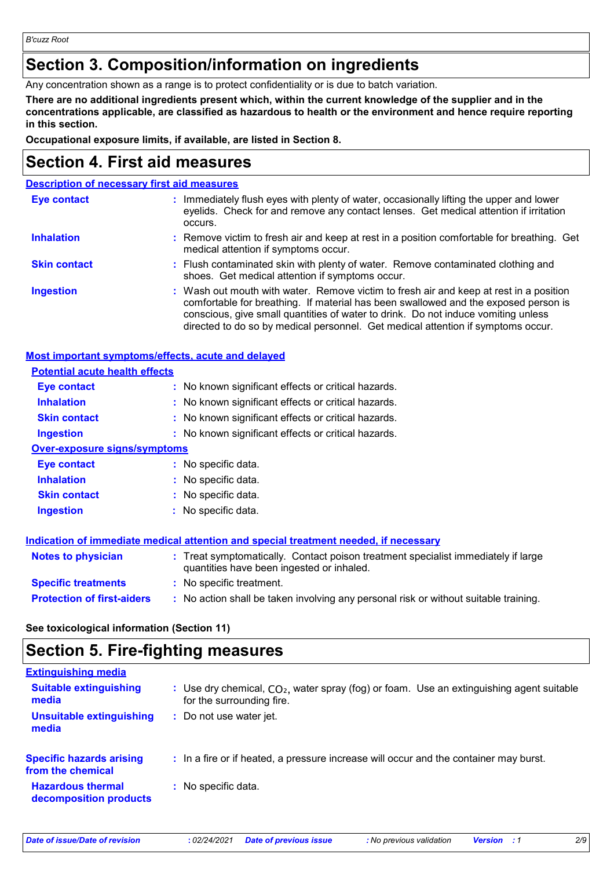### **Section 3. Composition/information on ingredients**

Any concentration shown as a range is to protect confidentiality or is due to batch variation.

**There are no additional ingredients present which, within the current knowledge of the supplier and in the concentrations applicable, are classified as hazardous to health or the environment and hence require reporting in this section.**

**Occupational exposure limits, if available, are listed in Section 8.**

### **Section 4. First aid measures**

### **Description of necessary first aid measures**

| <b>Eye contact</b>  | : Immediately flush eyes with plenty of water, occasionally lifting the upper and lower<br>eyelids. Check for and remove any contact lenses. Get medical attention if irritation<br>occurs.                                                                                                                                                            |
|---------------------|--------------------------------------------------------------------------------------------------------------------------------------------------------------------------------------------------------------------------------------------------------------------------------------------------------------------------------------------------------|
| <b>Inhalation</b>   | : Remove victim to fresh air and keep at rest in a position comfortable for breathing. Get<br>medical attention if symptoms occur.                                                                                                                                                                                                                     |
| <b>Skin contact</b> | : Flush contaminated skin with plenty of water. Remove contaminated clothing and<br>shoes. Get medical attention if symptoms occur.                                                                                                                                                                                                                    |
| <b>Ingestion</b>    | : Wash out mouth with water. Remove victim to fresh air and keep at rest in a position<br>comfortable for breathing. If material has been swallowed and the exposed person is<br>conscious, give small quantities of water to drink. Do not induce vomiting unless<br>directed to do so by medical personnel. Get medical attention if symptoms occur. |

| Most important symptoms/effects, acute and delayed |                                                                                                                                |
|----------------------------------------------------|--------------------------------------------------------------------------------------------------------------------------------|
| <b>Potential acute health effects</b>              |                                                                                                                                |
| Eye contact                                        | : No known significant effects or critical hazards.                                                                            |
| <b>Inhalation</b>                                  | : No known significant effects or critical hazards.                                                                            |
| <b>Skin contact</b>                                | : No known significant effects or critical hazards.                                                                            |
| <b>Ingestion</b>                                   | : No known significant effects or critical hazards.                                                                            |
| <b>Over-exposure signs/symptoms</b>                |                                                                                                                                |
| Eye contact                                        | : No specific data.                                                                                                            |
| <b>Inhalation</b>                                  | $:$ No specific data.                                                                                                          |
| <b>Skin contact</b>                                | $:$ No specific data.                                                                                                          |
| <b>Ingestion</b>                                   | $:$ No specific data.                                                                                                          |
|                                                    |                                                                                                                                |
|                                                    | Indication of immediate medical attention and special treatment needed, if necessary                                           |
| <b>Notes to physician</b>                          | : Treat symptomatically. Contact poison treatment specialist immediately if large<br>quantities have been ingested or inhaled. |
| <b>Specific treatments</b>                         | : No specific treatment.                                                                                                       |
| <b>Protection of first-aiders</b>                  | : No action shall be taken involving any personal risk or without suitable training.                                           |
|                                                    |                                                                                                                                |

### **See toxicological information (Section 11)**

# **Section 5. Fire-fighting measures**

| <b>Extinguishing media</b>                           |                                                                                                                         |
|------------------------------------------------------|-------------------------------------------------------------------------------------------------------------------------|
| <b>Suitable extinguishing</b><br>media               | : Use dry chemical, $CO2$ , water spray (fog) or foam. Use an extinguishing agent suitable<br>for the surrounding fire. |
| Unsuitable extinguishing<br>media                    | Do not use water jet.                                                                                                   |
| <b>Specific hazards arising</b><br>from the chemical | : In a fire or if heated, a pressure increase will occur and the container may burst.                                   |
| <b>Hazardous thermal</b><br>decomposition products   | : No specific data.                                                                                                     |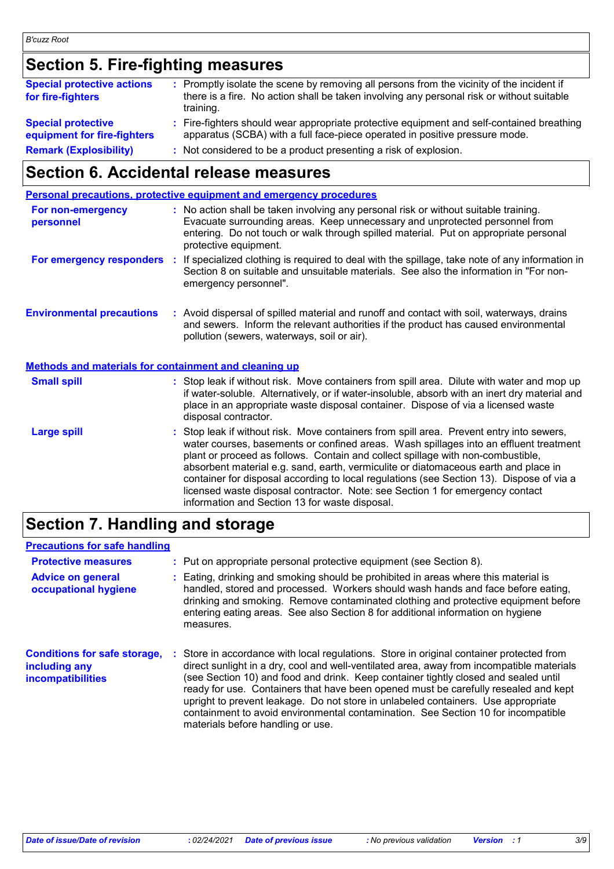# **Section 5. Fire-fighting measures**

| <b>Special protective actions</b><br>for fire-fighters   | : Promptly isolate the scene by removing all persons from the vicinity of the incident if<br>there is a fire. No action shall be taken involving any personal risk or without suitable<br>training. |
|----------------------------------------------------------|-----------------------------------------------------------------------------------------------------------------------------------------------------------------------------------------------------|
| <b>Special protective</b><br>equipment for fire-fighters | : Fire-fighters should wear appropriate protective equipment and self-contained breathing<br>apparatus (SCBA) with a full face-piece operated in positive pressure mode.                            |
| <b>Remark (Explosibility)</b>                            | : Not considered to be a product presenting a risk of explosion.                                                                                                                                    |

### **Section 6. Accidental release measures**

|                                                       | <b>Personal precautions, protective equipment and emergency procedures</b>                                                                                                                                                                                                                                                                                                                                                                                                                                                                                                                 |
|-------------------------------------------------------|--------------------------------------------------------------------------------------------------------------------------------------------------------------------------------------------------------------------------------------------------------------------------------------------------------------------------------------------------------------------------------------------------------------------------------------------------------------------------------------------------------------------------------------------------------------------------------------------|
| For non-emergency<br>personnel                        | : No action shall be taken involving any personal risk or without suitable training.<br>Evacuate surrounding areas. Keep unnecessary and unprotected personnel from<br>entering. Do not touch or walk through spilled material. Put on appropriate personal<br>protective equipment.                                                                                                                                                                                                                                                                                                       |
|                                                       | For emergency responders : If specialized clothing is required to deal with the spillage, take note of any information in<br>Section 8 on suitable and unsuitable materials. See also the information in "For non-<br>emergency personnel".                                                                                                                                                                                                                                                                                                                                                |
| <b>Environmental precautions</b>                      | : Avoid dispersal of spilled material and runoff and contact with soil, waterways, drains<br>and sewers. Inform the relevant authorities if the product has caused environmental<br>pollution (sewers, waterways, soil or air).                                                                                                                                                                                                                                                                                                                                                            |
| Methods and materials for containment and cleaning up |                                                                                                                                                                                                                                                                                                                                                                                                                                                                                                                                                                                            |
| <b>Small spill</b>                                    | : Stop leak if without risk. Move containers from spill area. Dilute with water and mop up<br>if water-soluble. Alternatively, or if water-insoluble, absorb with an inert dry material and<br>place in an appropriate waste disposal container. Dispose of via a licensed waste<br>disposal contractor.                                                                                                                                                                                                                                                                                   |
| <b>Large spill</b>                                    | : Stop leak if without risk. Move containers from spill area. Prevent entry into sewers,<br>water courses, basements or confined areas. Wash spillages into an effluent treatment<br>plant or proceed as follows. Contain and collect spillage with non-combustible,<br>absorbent material e.g. sand, earth, vermiculite or diatomaceous earth and place in<br>container for disposal according to local regulations (see Section 13). Dispose of via a<br>licensed waste disposal contractor. Note: see Section 1 for emergency contact<br>information and Section 13 for waste disposal. |

# **Section 7. Handling and storage**

### **Precautions for safe handling**

| <b>Protective measures</b><br><b>Advice on general</b><br>occupational hygiene | : Put on appropriate personal protective equipment (see Section 8).<br>: Eating, drinking and smoking should be prohibited in areas where this material is<br>handled, stored and processed. Workers should wash hands and face before eating,<br>drinking and smoking. Remove contaminated clothing and protective equipment before<br>entering eating areas. See also Section 8 for additional information on hygiene<br>measures.                                                                                                                                               |
|--------------------------------------------------------------------------------|------------------------------------------------------------------------------------------------------------------------------------------------------------------------------------------------------------------------------------------------------------------------------------------------------------------------------------------------------------------------------------------------------------------------------------------------------------------------------------------------------------------------------------------------------------------------------------|
| <b>Conditions for safe storage,</b><br>including any<br>incompatibilities      | : Store in accordance with local regulations. Store in original container protected from<br>direct sunlight in a dry, cool and well-ventilated area, away from incompatible materials<br>(see Section 10) and food and drink. Keep container tightly closed and sealed until<br>ready for use. Containers that have been opened must be carefully resealed and kept<br>upright to prevent leakage. Do not store in unlabeled containers. Use appropriate<br>containment to avoid environmental contamination. See Section 10 for incompatible<br>materials before handling or use. |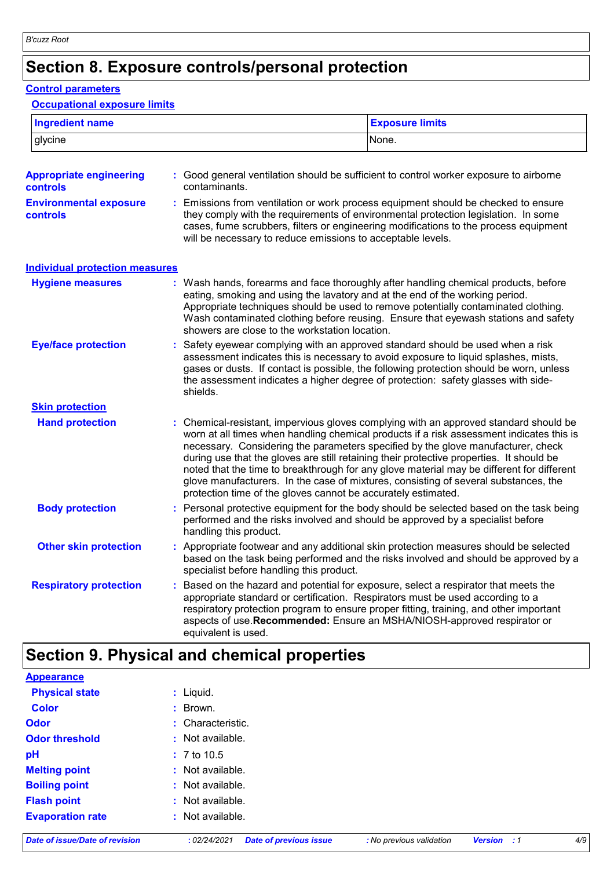# **Section 8. Exposure controls/personal protection**

### **Control parameters**

#### **Occupational exposure limits**

| <b>Ingredient name</b>                     |    |                                                                                                                                | <b>Exposure limits</b>                                                                                                                                                                                                                                                                                                                                                                                                                                                                                                                                |
|--------------------------------------------|----|--------------------------------------------------------------------------------------------------------------------------------|-------------------------------------------------------------------------------------------------------------------------------------------------------------------------------------------------------------------------------------------------------------------------------------------------------------------------------------------------------------------------------------------------------------------------------------------------------------------------------------------------------------------------------------------------------|
| glycine                                    |    |                                                                                                                                | None.                                                                                                                                                                                                                                                                                                                                                                                                                                                                                                                                                 |
| <b>Appropriate engineering</b><br>controls |    | contaminants.                                                                                                                  | : Good general ventilation should be sufficient to control worker exposure to airborne                                                                                                                                                                                                                                                                                                                                                                                                                                                                |
| <b>Environmental exposure</b><br>controls  |    | will be necessary to reduce emissions to acceptable levels.                                                                    | : Emissions from ventilation or work process equipment should be checked to ensure<br>they comply with the requirements of environmental protection legislation. In some<br>cases, fume scrubbers, filters or engineering modifications to the process equipment                                                                                                                                                                                                                                                                                      |
| <b>Individual protection measures</b>      |    |                                                                                                                                |                                                                                                                                                                                                                                                                                                                                                                                                                                                                                                                                                       |
| <b>Hygiene measures</b>                    |    | eating, smoking and using the lavatory and at the end of the working period.<br>showers are close to the workstation location. | : Wash hands, forearms and face thoroughly after handling chemical products, before<br>Appropriate techniques should be used to remove potentially contaminated clothing.<br>Wash contaminated clothing before reusing. Ensure that eyewash stations and safety                                                                                                                                                                                                                                                                                       |
| <b>Eye/face protection</b>                 |    | shields.                                                                                                                       | : Safety eyewear complying with an approved standard should be used when a risk<br>assessment indicates this is necessary to avoid exposure to liquid splashes, mists,<br>gases or dusts. If contact is possible, the following protection should be worn, unless<br>the assessment indicates a higher degree of protection: safety glasses with side-                                                                                                                                                                                                |
| <b>Skin protection</b>                     |    |                                                                                                                                |                                                                                                                                                                                                                                                                                                                                                                                                                                                                                                                                                       |
| <b>Hand protection</b>                     |    | protection time of the gloves cannot be accurately estimated.                                                                  | : Chemical-resistant, impervious gloves complying with an approved standard should be<br>worn at all times when handling chemical products if a risk assessment indicates this is<br>necessary. Considering the parameters specified by the glove manufacturer, check<br>during use that the gloves are still retaining their protective properties. It should be<br>noted that the time to breakthrough for any glove material may be different for different<br>glove manufacturers. In the case of mixtures, consisting of several substances, the |
| <b>Body protection</b>                     |    | performed and the risks involved and should be approved by a specialist before<br>handling this product.                       | : Personal protective equipment for the body should be selected based on the task being                                                                                                                                                                                                                                                                                                                                                                                                                                                               |
| <b>Other skin protection</b>               |    | specialist before handling this product.                                                                                       | : Appropriate footwear and any additional skin protection measures should be selected<br>based on the task being performed and the risks involved and should be approved by a                                                                                                                                                                                                                                                                                                                                                                         |
| <b>Respiratory protection</b>              | ÷. | appropriate standard or certification. Respirators must be used according to a<br>equivalent is used.                          | Based on the hazard and potential for exposure, select a respirator that meets the<br>respiratory protection program to ensure proper fitting, training, and other important<br>aspects of use. Recommended: Ensure an MSHA/NIOSH-approved respirator or                                                                                                                                                                                                                                                                                              |

# **Section 9. Physical and chemical properties**

| <b>Appearance</b>              |                                               |                          |                    |     |
|--------------------------------|-----------------------------------------------|--------------------------|--------------------|-----|
| <b>Physical state</b>          | $:$ Liquid.                                   |                          |                    |     |
| <b>Color</b>                   | : Brown.                                      |                          |                    |     |
| <b>Odor</b>                    | : Characteristic.                             |                          |                    |     |
| <b>Odor threshold</b>          | : Not available.                              |                          |                    |     |
| pH                             | $: 7 \text{ to } 10.5$                        |                          |                    |     |
| <b>Melting point</b>           | : Not available.                              |                          |                    |     |
| <b>Boiling point</b>           | : Not available.                              |                          |                    |     |
| <b>Flash point</b>             | : Not available.                              |                          |                    |     |
| <b>Evaporation rate</b>        | : Not available.                              |                          |                    |     |
| Date of issue/Date of revision | <b>Date of previous issue</b><br>: 02/24/2021 | : No previous validation | <b>Version</b> : 1 | 4/9 |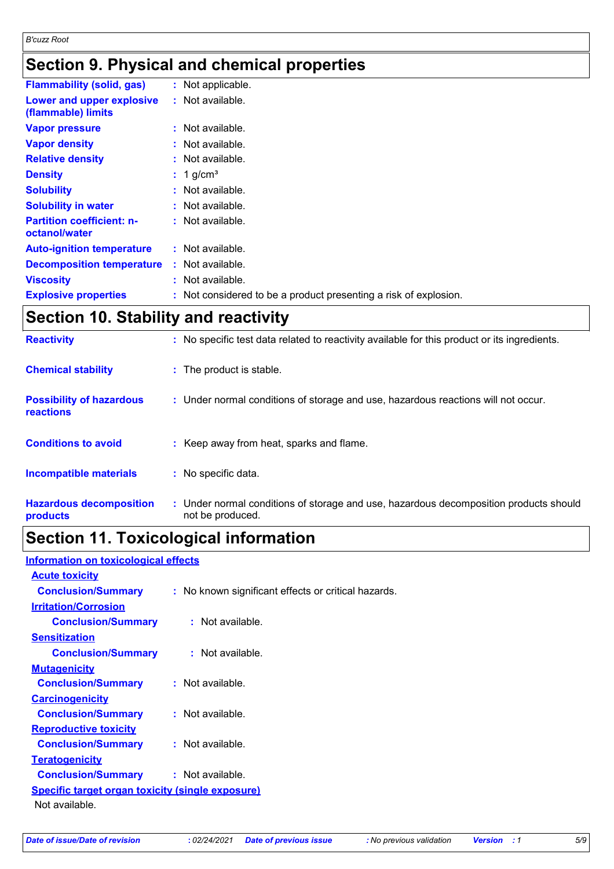# **Section 9. Physical and chemical properties**

| <b>Flammability (solid, gas)</b>                  | : Not applicable.                                                |
|---------------------------------------------------|------------------------------------------------------------------|
| Lower and upper explosive<br>(flammable) limits   | : Not available.                                                 |
| <b>Vapor pressure</b>                             | : Not available.                                                 |
| <b>Vapor density</b>                              | $:$ Not available.                                               |
| <b>Relative density</b>                           | : Not available.                                                 |
| <b>Density</b>                                    | $: 1$ g/cm <sup>3</sup>                                          |
| <b>Solubility</b>                                 | : Not available.                                                 |
| <b>Solubility in water</b>                        | : Not available.                                                 |
| <b>Partition coefficient: n-</b><br>octanol/water | : Not available.                                                 |
| <b>Auto-ignition temperature</b>                  | : Not available.                                                 |
| <b>Decomposition temperature</b>                  | : Not available.                                                 |
| <b>Viscosity</b>                                  | : Not available.                                                 |
| <b>Explosive properties</b>                       | : Not considered to be a product presenting a risk of explosion. |
|                                                   |                                                                  |

# **Section 10. Stability and reactivity**

| <b>Reactivity</b>                            | : No specific test data related to reactivity available for this product or its ingredients.              |
|----------------------------------------------|-----------------------------------------------------------------------------------------------------------|
| <b>Chemical stability</b>                    | : The product is stable.                                                                                  |
| <b>Possibility of hazardous</b><br>reactions | : Under normal conditions of storage and use, hazardous reactions will not occur.                         |
| <b>Conditions to avoid</b>                   | : Keep away from heat, sparks and flame.                                                                  |
| <b>Incompatible materials</b>                | : No specific data.                                                                                       |
| <b>Hazardous decomposition</b><br>products   | : Under normal conditions of storage and use, hazardous decomposition products should<br>not be produced. |

### **Section 11. Toxicological information**

| <b>Information on toxicological effects</b>             |  |  |  |
|---------------------------------------------------------|--|--|--|
|                                                         |  |  |  |
|                                                         |  |  |  |
| : No known significant effects or critical hazards.     |  |  |  |
|                                                         |  |  |  |
| <b>Conclusion/Summary : Not available.</b>              |  |  |  |
|                                                         |  |  |  |
| : Not available.<br><b>Conclusion/Summary</b>           |  |  |  |
|                                                         |  |  |  |
| : Not available.                                        |  |  |  |
|                                                         |  |  |  |
| <b>Conclusion/Summary</b><br>: Not available.           |  |  |  |
|                                                         |  |  |  |
| : Not available.                                        |  |  |  |
|                                                         |  |  |  |
| <b>Conclusion/Summary</b><br>: Not available.           |  |  |  |
| <b>Specific target organ toxicity (single exposure)</b> |  |  |  |
|                                                         |  |  |  |
|                                                         |  |  |  |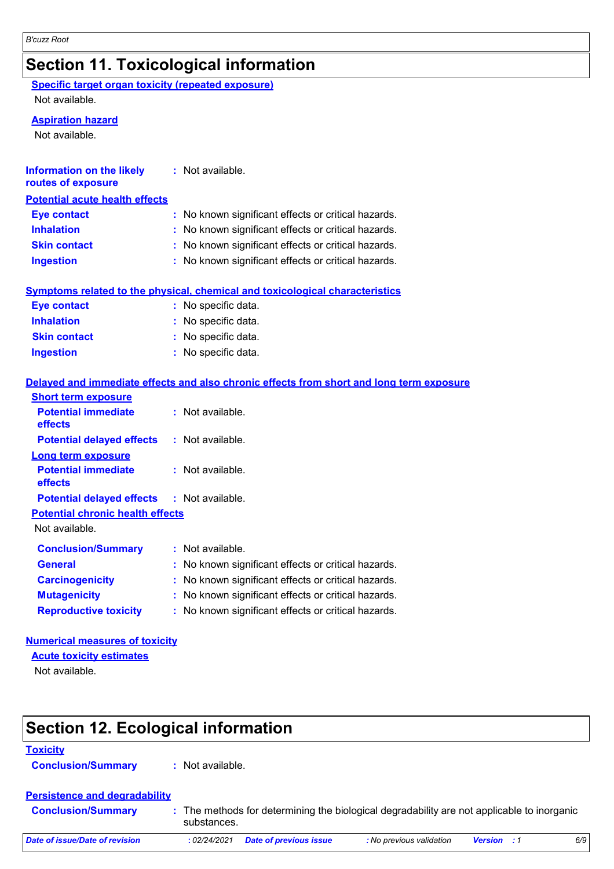# **Section 11. Toxicological information**

**Specific target organ toxicity (repeated exposure)**

Not available.

#### **Aspiration hazard**

Not available.

| <b>Information on the likely</b><br>routes of exposure | $:$ Not available.                                                                       |
|--------------------------------------------------------|------------------------------------------------------------------------------------------|
| <b>Potential acute health effects</b>                  |                                                                                          |
| <b>Eye contact</b>                                     | : No known significant effects or critical hazards.                                      |
| <b>Inhalation</b>                                      | No known significant effects or critical hazards.                                        |
| <b>Skin contact</b>                                    | No known significant effects or critical hazards.                                        |
| <b>Ingestion</b>                                       | No known significant effects or critical hazards.                                        |
|                                                        | Symptoms related to the physical, chemical and toxicological characteristics             |
| <b>Eye contact</b>                                     | : No specific data.                                                                      |
| <b>Inhalation</b>                                      | No specific data.                                                                        |
| <b>Skin contact</b>                                    | No specific data.                                                                        |
| <b>Ingestion</b>                                       | : No specific data.                                                                      |
|                                                        | Delayed and immediate effects and also chronic effects from short and long term exposure |
| <b>Short term exposure</b>                             |                                                                                          |
| <b>Potential immediate</b><br>effects                  | : Not available.                                                                         |
| <b>Potential delayed effects</b>                       | : Not available.                                                                         |
| <b>Long term exposure</b>                              |                                                                                          |
| <b>Potential immediate</b><br><b>effects</b>           | : Not available.                                                                         |
| <b>Potential delayed effects</b>                       | : Not available.                                                                         |
| <b>Potential chronic health effects</b>                |                                                                                          |
| Not available.                                         |                                                                                          |
| <b>Conclusion/Summary</b>                              | : Not available.                                                                         |
| <b>General</b>                                         | No known significant effects or critical hazards.                                        |
| <b>Carcinogenicity</b>                                 | No known significant effects or critical hazards.                                        |
| <b>Mutagenicity</b>                                    | No known significant effects or critical hazards.                                        |
| <b>Reproductive toxicity</b>                           | No known significant effects or critical hazards.                                        |

### **Numerical measures of toxicity**

**Acute toxicity estimates**

Not available.

# **Section 12. Ecological information**

### **Toxicity**

**Conclusion/Summary :** Not available.

### **Persistence and degradability**

| <b>Conclusion/Summary</b><br>substances. | : The methods for determining the biological degradability are not applicable to inorganic |
|------------------------------------------|--------------------------------------------------------------------------------------------|
|------------------------------------------|--------------------------------------------------------------------------------------------|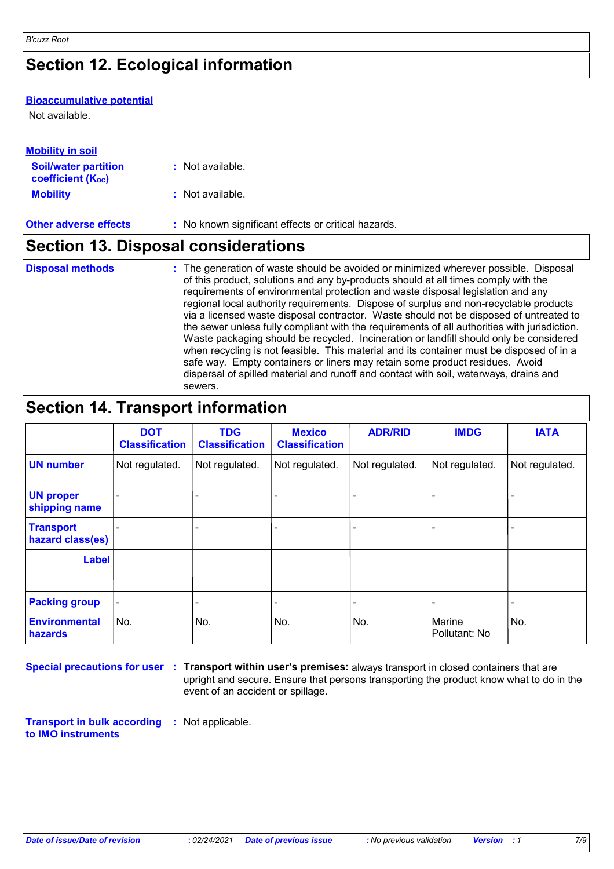# **Section 12. Ecological information**

#### **Bioaccumulative potential**

Not available.

| <b>Mobility in soil</b>                                       |                                                     |
|---------------------------------------------------------------|-----------------------------------------------------|
| <b>Soil/water partition</b><br>coefficient (K <sub>oc</sub> ) | : Not available.                                    |
| <b>Mobility</b>                                               | : Not available.                                    |
| <b>Other adverse effects</b>                                  | : No known significant effects or critical hazards. |

# **Section 13. Disposal considerations**

| <b>Disposal methods</b> | : The generation of waste should be avoided or minimized wherever possible. Disposal<br>of this product, solutions and any by-products should at all times comply with the<br>requirements of environmental protection and waste disposal legislation and any<br>regional local authority requirements. Dispose of surplus and non-recyclable products<br>via a licensed waste disposal contractor. Waste should not be disposed of untreated to<br>the sewer unless fully compliant with the requirements of all authorities with jurisdiction.<br>Waste packaging should be recycled. Incineration or landfill should only be considered<br>when recycling is not feasible. This material and its container must be disposed of in a<br>safe way. Empty containers or liners may retain some product residues. Avoid<br>dispersal of spilled material and runoff and contact with soil, waterways, drains and |
|-------------------------|-----------------------------------------------------------------------------------------------------------------------------------------------------------------------------------------------------------------------------------------------------------------------------------------------------------------------------------------------------------------------------------------------------------------------------------------------------------------------------------------------------------------------------------------------------------------------------------------------------------------------------------------------------------------------------------------------------------------------------------------------------------------------------------------------------------------------------------------------------------------------------------------------------------------|
|                         | sewers.                                                                                                                                                                                                                                                                                                                                                                                                                                                                                                                                                                                                                                                                                                                                                                                                                                                                                                         |

# **Section 14. Transport information**

|                                      | <b>DOT</b><br><b>Classification</b> | <b>TDG</b><br><b>Classification</b> | <b>Mexico</b><br><b>Classification</b> | <b>ADR/RID</b> | <b>IMDG</b>             | <b>IATA</b>    |
|--------------------------------------|-------------------------------------|-------------------------------------|----------------------------------------|----------------|-------------------------|----------------|
| <b>UN number</b>                     | Not regulated.                      | Not regulated.                      | Not regulated.                         | Not regulated. | Not regulated.          | Not regulated. |
| <b>UN proper</b><br>shipping name    |                                     |                                     |                                        |                |                         |                |
| <b>Transport</b><br>hazard class(es) |                                     |                                     |                                        |                |                         |                |
| <b>Label</b>                         |                                     |                                     |                                        |                |                         |                |
| <b>Packing group</b>                 |                                     |                                     |                                        |                |                         | -              |
| <b>Environmental</b><br>hazards      | No.                                 | No.                                 | No.                                    | No.            | Marine<br>Pollutant: No | No.            |

**Special precautions for user Transport within user's premises:** always transport in closed containers that are **:** upright and secure. Ensure that persons transporting the product know what to do in the event of an accident or spillage.

**Transport in bulk according :** Not applicable. **to IMO instruments**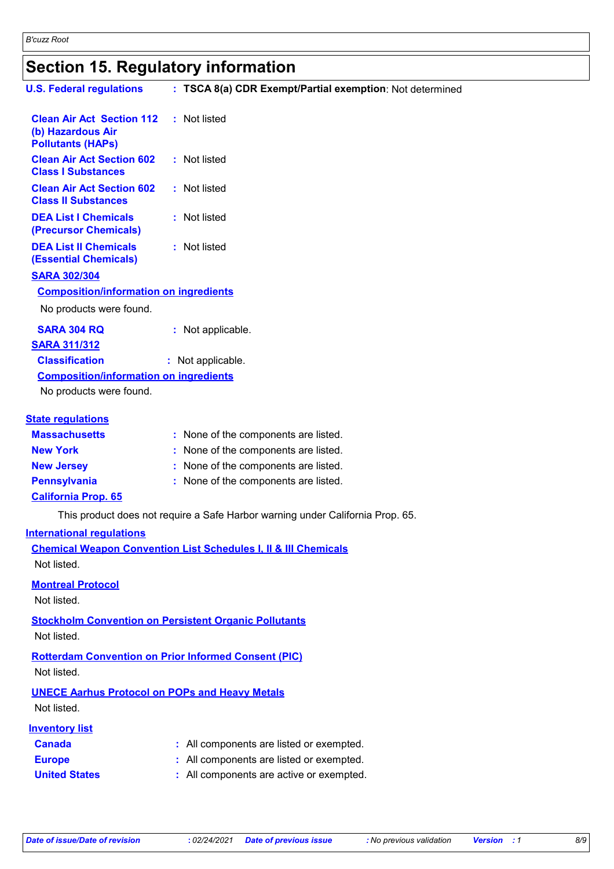# **Section 15. Regulatory information**

| <b>U.S. Federal regulations</b>                                                   | : TSCA 8(a) CDR Exempt/Partial exemption: Not determined                       |
|-----------------------------------------------------------------------------------|--------------------------------------------------------------------------------|
| <b>Clean Air Act Section 112</b><br>(b) Hazardous Air<br><b>Pollutants (HAPs)</b> | : Not listed                                                                   |
| <b>Clean Air Act Section 602</b><br><b>Class I Substances</b>                     | : Not listed                                                                   |
| <b>Clean Air Act Section 602</b><br><b>Class II Substances</b>                    | : Not listed                                                                   |
| <b>DEA List I Chemicals</b><br>(Precursor Chemicals)                              | : Not listed                                                                   |
| <b>DEA List II Chemicals</b><br><b>(Essential Chemicals)</b>                      | : Not listed                                                                   |
| <b>SARA 302/304</b>                                                               |                                                                                |
| <b>Composition/information on ingredients</b>                                     |                                                                                |
| No products were found.                                                           |                                                                                |
| <b>SARA 304 RQ</b>                                                                | : Not applicable.                                                              |
| <b>SARA 311/312</b>                                                               |                                                                                |
| <b>Classification</b>                                                             | : Not applicable.                                                              |
| <b>Composition/information on ingredients</b>                                     |                                                                                |
| No products were found.                                                           |                                                                                |
| <b>State regulations</b>                                                          |                                                                                |
| <b>Massachusetts</b>                                                              | : None of the components are listed.                                           |
| <b>New York</b>                                                                   | : None of the components are listed.                                           |
| <b>New Jersey</b>                                                                 | : None of the components are listed.                                           |
| <b>Pennsylvania</b>                                                               | : None of the components are listed.                                           |
| <b>California Prop. 65</b>                                                        |                                                                                |
|                                                                                   | This product does not require a Safe Harbor warning under California Prop. 65. |
| <b>International requlations</b>                                                  |                                                                                |
| Not listed.                                                                       | <b>Chemical Weapon Convention List Schedules I, II &amp; III Chemicals</b>     |
| <b>Montreal Protocol</b>                                                          |                                                                                |
| Not listed.                                                                       |                                                                                |
| Not listed.                                                                       | <b>Stockholm Convention on Persistent Organic Pollutants</b>                   |
| Not listed.                                                                       | <b>Rotterdam Convention on Prior Informed Consent (PIC)</b>                    |
| <b>UNECE Aarhus Protocol on POPs and Heavy Metals</b><br>Not listed.              |                                                                                |
| <b>Inventory list</b>                                                             |                                                                                |
| <b>Canada</b>                                                                     | : All components are listed or exempted.                                       |
| <b>Europe</b>                                                                     | All components are listed or exempted.                                         |
| <b>United States</b>                                                              | : All components are active or exempted.                                       |
|                                                                                   |                                                                                |
|                                                                                   |                                                                                |